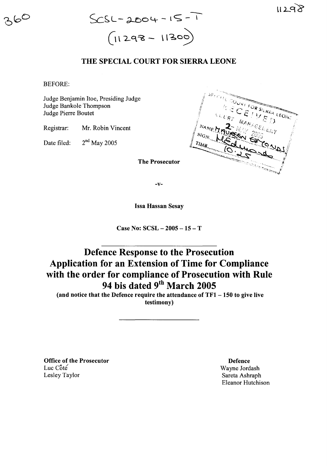

## THE SPECIAL COURT FOR SIERRA LEONE

BEFORE:

Judge Benjamin Hoe, Presiding Judge Judge Bankole Thompson Judge Pierre Boutet

Registrar: Mr. Robin Vincent

Date filed:  $2<sup>nd</sup>$  May 2005



-v-

Issa Hassan Sesay

Case No: SCSL - 2005 - 15 - T

## Defence Response to the Prosecution Application for an Extension of Time for Compliance with the order for compliance of Prosecution with Rule 94 bis dated 9<sup>th</sup> March 2005

(and notice that the Defence require the attendance of  $TF1 - 150$  to give live testimony)

Office of the Prosecutor Luc  $C$ ôté Lesley Taylor

Defence Wayne Jordash Sareta Ashraph Eleanor Hutchison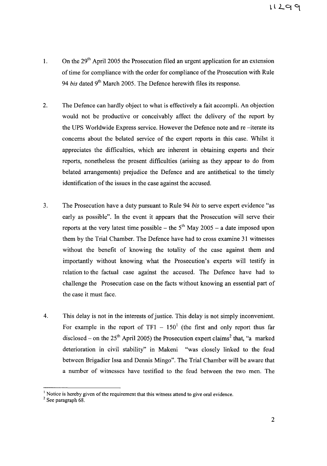- 1. On the  $29<sup>th</sup>$  April 2005 the Prosecution filed an urgent application for an extension of time for compliance with the order for compliance of the Prosecution with Rule *94 bis* dated 9th March 2005. The Defence herewith files its response.
- 2. The Defence can hardly object to what is effectively a fait accompli. An objection would not be productive or conceivably affect the delivery of the report by the UPS Worldwide Express service. However the Defence note and re -iterate its concerns about the belated service of the expert reports in this case. Whilst it appreciates the difficulties, which are inherent in obtaining experts and their reports, nonetheless the present difficulties (arising as they appear to do from belated arrangements) prejudice the Defence and are antithetical to the timely identification of the issues in the case against the accused.
- 3. The Prosecution have a duty pursuant to Rule 94 *bis* to serve expert evidence "as early as possible". In the event it appears that the Prosecution will serve their reports at the very latest time possible – the  $5<sup>th</sup>$  May 2005 – a date imposed upon them by the Trial Chamber. The Defence have had to cross examine 31 witnesses without the benefit of knowing the totality of the case against them and importantly without knowing what the Prosecution's experts will testify in relation to the factual case against the accused. The Defence have had to challenge the Prosecution case on the facts without knowing an essential part of the case it must face.
- 4. This delay is not in the interests of justice. This delay is not simply inconvenient. For example in the report of  $TF1 - 150^1$  (the first and only report thus far disclosed – on the  $25<sup>th</sup>$  April 2005) the Prosecution expert claims<sup>2</sup> that, "a marked deterioration in civil stability" in Makeni "was closely linked to the feud between Brigadier Issa and Dennis Mingo". The Trial Chamber will be aware that a number of witnesses have testified to the feud between the two men. The

 $<sup>1</sup>$  Notice is hereby given of the requirement that this witness attend to give oral evidence.</sup>

 $<sup>2</sup>$  See paragraph 68.</sup>